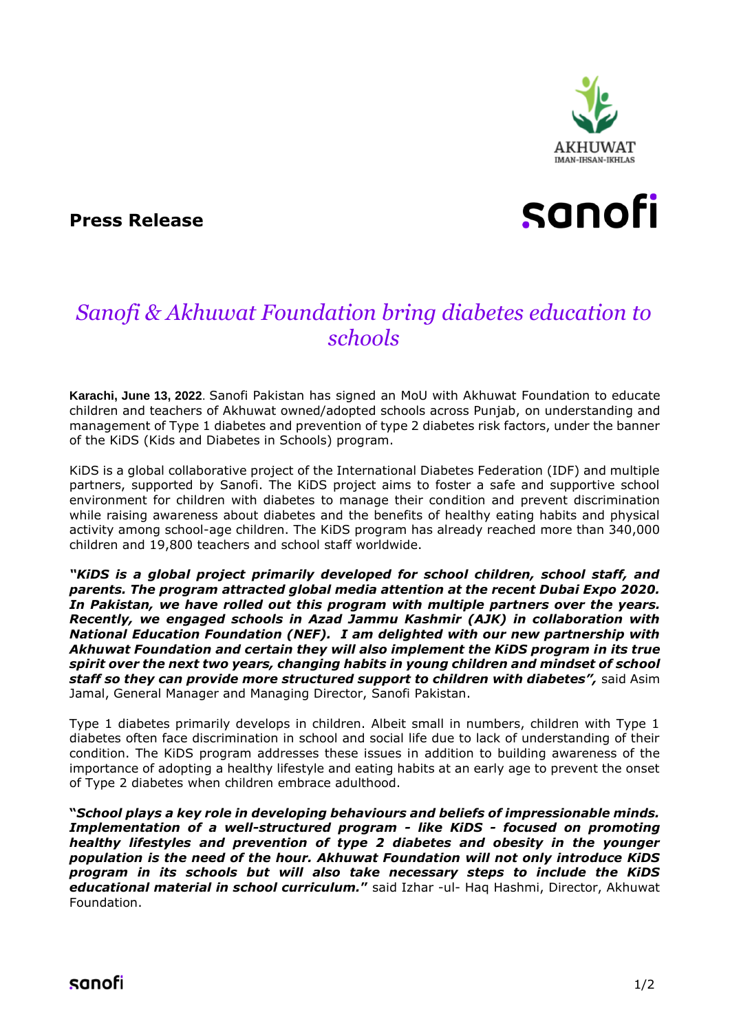

### **Press Release**

# sanofi

## *Sanofi & Akhuwat Foundation bring diabetes education to schools*

**Karachi, June 13, 2022**. Sanofi Pakistan has signed an MoU with Akhuwat Foundation to educate children and teachers of Akhuwat owned/adopted schools across Punjab, on understanding and management of Type 1 diabetes and prevention of type 2 diabetes risk factors, under the banner of the KiDS (Kids and Diabetes in Schools) program.

KiDS is a global collaborative project of the International Diabetes Federation (IDF) and multiple partners, supported by Sanofi. The KiDS project aims to foster a safe and supportive school environment for children with diabetes to manage their condition and prevent discrimination while raising awareness about diabetes and the benefits of healthy eating habits and physical activity among school-age children. The KiDS program has already reached more than 340,000 children and 19,800 teachers and school staff worldwide.

*"KiDS is a global project primarily developed for school children, school staff, and parents. The program attracted global media attention at the recent Dubai Expo 2020. In Pakistan, we have rolled out this program with multiple partners over the years. Recently, we engaged schools in Azad Jammu Kashmir (AJK) in collaboration with National Education Foundation (NEF). I am delighted with our new partnership with Akhuwat Foundation and certain they will also implement the KiDS program in its true spirit over the next two years, changing habits in young children and mindset of school staff so they can provide more structured support to children with diabetes",* said Asim Jamal, General Manager and Managing Director, Sanofi Pakistan.

Type 1 diabetes primarily develops in children. Albeit small in numbers, children with Type 1 diabetes often face discrimination in school and social life due to lack of understanding of their condition. The KiDS program addresses these issues in addition to building awareness of the importance of adopting a healthy lifestyle and eating habits at an early age to prevent the onset of Type 2 diabetes when children embrace adulthood.

**"***School plays a key role in developing behaviours and beliefs of impressionable minds. Implementation of a well-structured program - like KiDS - focused on promoting healthy lifestyles and prevention of type 2 diabetes and obesity in the younger population is the need of the hour. Akhuwat Foundation will not only introduce KiDS program in its schools but will also take necessary steps to include the KiDS educational material in school curriculum.***"** said Izhar -ul- Haq Hashmi, Director, Akhuwat Foundation.

sanofi